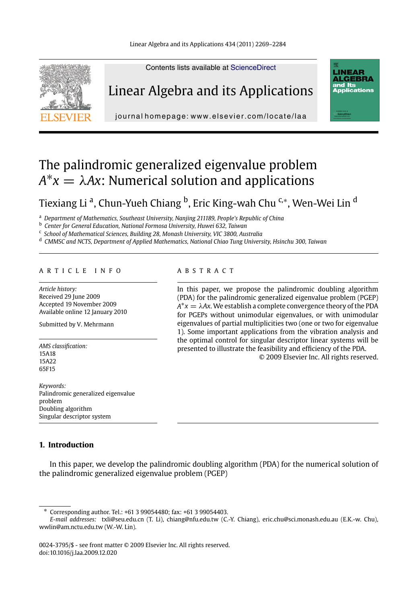Linear Algebra and its Applications 434 (2011) 2269–2284



Linear Algebra and its Applications

Contents lists available at ScienceDirect



journal homepage: www.elsevier.com/locate/laa

# The palindromic generalized eigenvalue problem  $A^*x = \lambda Ax$ : Numerical solution and applications

Tiexiang Li <sup>a</sup>, Chun-Yueh Chiang <sup>b</sup>, Eric King-wah Chu <sup>c,</sup>\*, Wen-Wei Lin <sup>d</sup>

<sup>a</sup> *Department of Mathematics, Southeast University, Nanjing 211189, People's Republic of China*

<sup>b</sup> *Center for General Education, National Formosa University, Huwei 632, Taiwan*

<sup>c</sup> *School of Mathematical Sciences, Building 28, Monash University, VIC 3800, Australia*

<sup>d</sup> *CMMSC and NCTS, Department of Applied Mathematics, National Chiao Tung University, Hsinchu 300, Taiwan*

# ARTICLE INFO ABSTRACT

*Article history:* Received 29 June 2009 Accepted 19 November 2009 Available online 12 January 2010

Submitted by V. Mehrmann

*AMS classification:* 15A18 15A22 65F15

*Keywords:* Palindromic generalized eigenvalue problem Doubling algorithm Singular descriptor system

# **1. Introduction**

In this paper, we develop the palindromic doubling algorithm (PDA) for the numerical solution of the palindromic generalized eigenvalue problem (PGEP)

In this paper, we propose the palindromic doubling algorithm (PDA) for the palindromic generalized eigenvalue problem (PGEP)  $A^*x = \lambda Ax$ . We establish a complete convergence theory of the PDA for PGEPs without unimodular eigenvalues, or with unimodular eigenvalues of partial multiplicities two (one or two for eigenvalue 1). Some important applications from the vibration analysis and the optimal control for singular descriptor linear systems will be presented to illustrate the feasibility and efficiency of the PDA. © 2009 Elsevier Inc. All rights reserved.

<sup>∗</sup> Corresponding author. Tel.: +61 3 99054480; fax: +61 3 99054403.

*E-mail addresses:* txli@seu.edu.cn (T. Li), chiang@nfu.edu.tw (C.-Y. Chiang), eric.chu@sci.monash.edu.au (E.K.-w. Chu), wwlin@am.nctu.edu.tw (W.-W. Lin).

<sup>0024-3795/\$ -</sup> see front matter © 2009 Elsevier Inc. All rights reserved. doi:10.1016/j.laa.2009.12.020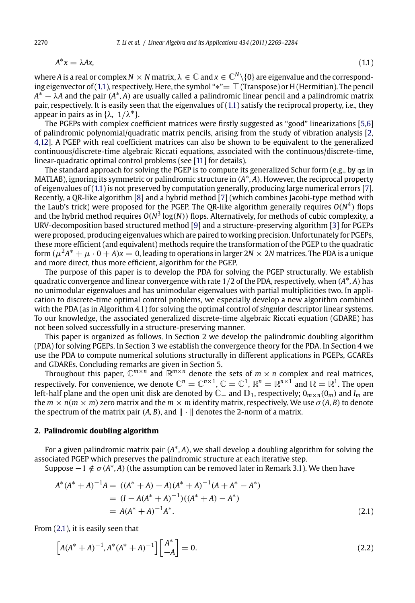$$
A^*x = \lambda Ax,\tag{1.1}
$$

where *A* is a real or complex  $N \times N$  matrix,  $\lambda \in \mathbb{C}$  and  $x \in \mathbb{C}^N \setminus \{0\}$  are eigenvalue and the corresponding eigenvector of  $(1.1)$ , respectively. Here, the symbol " $*$ " =  $\top$  (Transpose) or H (Hermitian). The pe[nci](#page-15-0)l *<sup>A</sup>*<sup>∗</sup> − *λ<sup>A</sup>* and the pair *(A*∗*, A)* [are](#page-15-0) usually called a palin[dro](#page-15-0)mic linear pencil and a palindromic matrix pair, respectively. It is easily seen that the eigenvalues of (1.1) satisfy the reciprocal property, i.e., they appear in pairs as in {*λ,* <sup>1</sup>*/λ*∗}.

The PGEPs with complex coefficient matric[es](#page-15-0) were firstly suggested as "good" linear[iza](#page-15-0)tions [5,6] of palindromic polynomial/quadratic matrix pencils, arising from the study of vibration analysis [2, 4,12]. A PGEP with real coefficient matrices can also be shown to be equivalent to the generalized continuous/discrete-time algebraic Riccati equations, associated with the continuous/discrete-time, linear-quadratic optimal control problems (see [11] for details).

The standard approach for solving the PGEP is to compute its generalized Schur form (e.g., by  $qz$  in MATLAB), ignoring its symmetric or palindromic structure in *(A*∗*, A)*. However, the reciprocal property of eigenvalues of (1.1) is not preserved by computation generally, producing large numerical errors [7]. Recently, a QR-like algorithm [8] and a hybrid method [7] (which combines Jacobi-type method with the Laub's trick) were proposed for the PGEP. The QR-like algorithm generally requires  $O(N^4)$  flops and the hybrid method requires  $O(N^3 \log(N))$  flops. Alternatively, for methods of cubic complexity, a URV-decomposition based structured method [9] and a structure-preserving algorithm [3] for PGEPs were proposed, producing eigenvalues which are paired to working precision. Unfortunately for PGEPs, these more efficient (and equivalent) methods require the transformation of the PGEP to the quadratic form  $(\mu^2 A^* + \mu \cdot 0 + A)x = 0$ , leading to operations in larger  $2N \times 2N$  matrices. The PDA is a unique and more direct, thus more efficient, algorithm for the PGEP.

The purpose of this paper is to develop the PDA for solving the PGEP structurally. We establish quadratic convergence and linear convergence with rate 1*/*2 of the PDA, respectively, when *(A*∗*, A)* has no unimodular eigenvalues and has unimodular eigenvalues with partial multiplicities two. In application to discrete-time optimal control problems, we especially develop a new algorithm combined with the PDA (as in Algorithm 4.1) for solving the optimal control of *singular* descriptor linear systems. To our knowledge, the associated generalized discrete-time algebraic Riccati equation (GDARE) has not been solved successfully in a structure-preserving manner.

This paper is organized as follows. In Section 2 we develop the palindromic doubling algorithm (PDA) for solving PGEPs. In Section 3 we establish the convergence theory for the PDA. In Section 4 we use the PDA to compute numerical solutions structurally in different applications in PGEPs, GCAREs and GDAREs. Concluding remarks are given in Section 5. Throughout this paper, C*<sup>m</sup>*×*<sup>n</sup>* and R*<sup>m</sup>*×*<sup>n</sup>* denote the sets of *<sup>m</sup>* × *<sup>n</sup>* complex and real matrices,

respectively. For convenience, we denote  $\mathbb{C}^n = \mathbb{C}^{n \times 1}$ ,  $\mathbb{C} = \mathbb{C}^1$ ,  $\mathbb{R}^n = \mathbb{R}^{n \times 1}$  and  $\mathbb{R} = \mathbb{R}^1$ . The open left-half plane and the open unit disk are denoted by C− and D1, respectively; 0*m*×*n(*0*m)* and *Im* are the  $m \times n(m \times m)$  zero matrix and the  $m \times m$  identity matrix, respectively. We use  $\sigma(A, B)$  to denote the spectrum of the matrix pair  $(A, B)$ , and  $\|\cdot\|$  denotes the 2-norm of a matrix.

# **2. Palindromic doubling algorithm**

For a given palindromic matrix pair *(A*∗*, A)*, we shall develop a doubling algorithm for solving the associated PGEP which preserves the palindromic structure at each iterative step.

Suppose  $-1 \notin \sigma(A^*,A)$  (the assumption can be removed later in Remark 3.1). We then have

$$
A^*(A^* + A)^{-1}A = ((A^* + A) - A)(A^* + A)^{-1}(A + A^* - A^*)
$$
  
=  $(I - A(A^* + A)^{-1})((A^* + A) - A^*)$   
=  $A(A^* + A)^{-1}A^*$ . (2.1)

From (2.1), it is easily seen that

$$
\[A(A^* + A)^{-1}, A^*(A^* + A)^{-1}\] \begin{bmatrix} A^* \\ -A \end{bmatrix} = 0. \tag{2.2}
$$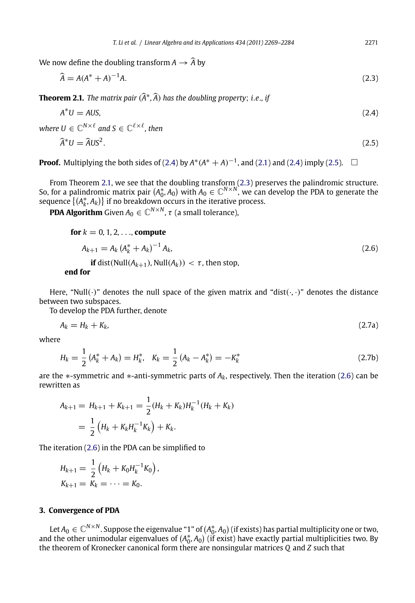<span id="page-2-0"></span>We now define the doubling transform  $A \to \widehat{A}$  by

$$
\widehat{A} = A(A^* + A)^{-1}A. \tag{2.3}
$$

**Theorem 2.1.** *The matrix pair*  $(\widehat{A}^*, \widehat{A})$  *has the doubling property; i.e., if* 

$$
A^*U = AUS,\tag{2.4}
$$

where  $U \in \mathbb{C}^{N \times \ell}$  and  $S \in \mathbb{C}^{\ell \times \ell}$ , then

$$
\widehat{A}^*U = \widehat{A}US^2. \tag{2.5}
$$

**Proof.** Multiplying the both sides of (2.4) by  $A^*(A^* + A)^{-1}$ , and (2.1) and (2.4) imply (2.5).  $□$ 

From Theorem 2.1, we see that the doubling transform (2.3) preserves the palindromic structure. So, for a palindromic matrix pair  $(A_0^*, A_0)$  with  $A_0 \in \mathbb{C}^{N \times N}$ , we can develop the PDA to generate the sequence  $\{(A_k^*, A_k)\}\$ if no breakdown occurs in the iterative process.

**PDA Algorithm** Given  $A_0 \in \mathbb{C}^{N \times N}$ ,  $\tau$  (a small tolerance),

**for**  $k = 0, 1, 2, \ldots$ , **compute** 

$$
A_{k+1} = A_k \left( A_k^* + A_k \right)^{-1} A_k,
$$
  
\n**if** dist(Null $(A_{k+1})$ , Null $(A_k)$ ) <  $\tau$ , then stop, (2.6)

**end for**

Here, "Null $(\cdot)$ " denotes the null space of the given matrix and "dist $(\cdot, \cdot)$ " denotes the distance between two subspaces.

To develop the PDA further, denote

$$
A_k = H_k + K_k, \tag{2.7a}
$$

where

$$
H_k = \frac{1}{2} \left( A_k^* + A_k \right) = H_k^*, \quad K_k = \frac{1}{2} \left( A_k - A_k^* \right) = -K_k^* \tag{2.7b}
$$

are the ∗-symmetric and ∗-anti-symmetric parts of *Ak*, respectively. Then the iteration (2.6) can be rewritten as

$$
A_{k+1} = H_{k+1} + K_{k+1} = \frac{1}{2}(H_k + K_k)H_k^{-1}(H_k + K_k)
$$
  
=  $\frac{1}{2}(H_k + K_kH_k^{-1}K_k) + K_k.$ 

The iteration (2.6) in the PDA can be simplified to

$$
H_{k+1} = \frac{1}{2} \left( H_k + K_0 H_k^{-1} K_0 \right),
$$
  

$$
K_{k+1} = K_k = \cdots = K_0.
$$

# **3. Convergence of PDA**

Let  $A_0\in\mathbb{C}^{N\times N}.$  Suppose the eigenvalue "1" of  $(A_0^*,A_0)$  (if exists) has partial multiplicity one or two, and the other unimodular eigenvalues of  $(A_0^*, A_0)$  (if exist) have exactly partial multiplicities two. By the theorem of Kronecker canonical form there are nonsingular matrices *Q* and *Z* such that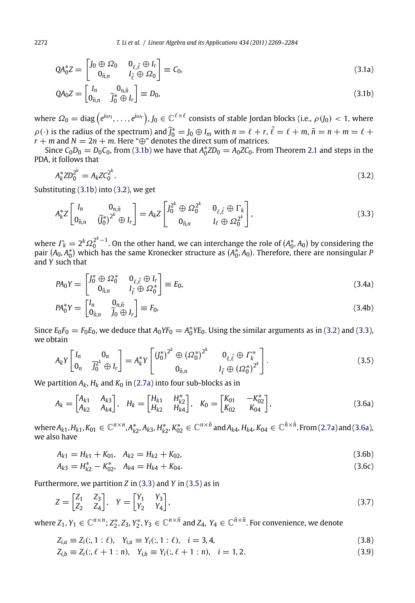$$
QA_0^* Z = \begin{bmatrix} J_0 \oplus \Omega_0 & 0_{\ell, \tilde{\ell}} \oplus I_r \\ 0_{\tilde{n}, n} & I_{\tilde{\ell}} \oplus \Omega_0 \end{bmatrix} \equiv C_0, \tag{3.1a}
$$

$$
QA_0Z = \begin{bmatrix} I_n & 0_{n,\tilde{n}} \\ 0_{\tilde{n},n} & \tilde{J}_0^* \oplus I_r \end{bmatrix} \equiv D_0,\tag{3.1b}
$$

where  $\varOmega_0=\text{diag}\left(e^{i\omega_1},\ldots,e^{i\omega_r}\right)\!,$   $J_0\in\mathbb{C}^{\ell\times\ell}$  consists of stable Jordan blocks (i.e.,  $\rho\left(J_0\right)< 1$ , where  $\rho(\cdot)$  is the radius of the spectrum) and  $\tilde{J}_0^* = J_0 \oplus I_m$  with  $n = \ell + r$ ,  $\tilde{\ell} = \ell + m$ ,  $\tilde{n} = n + m = \ell + r$  $r + m$  and  $N = 2n + m$ . Here "⊕" denotes the direct sum of matrices.

Since  $C_0D_0 = D_0C_0$ , from (3.1b) we have that  $A_0^*ZD_0 = A_0ZC_0$ . From Theorem 2.1 and steps in the PDA, it follows that

$$
A_k^* Z D_0^{2^k} = A_k Z C_0^{2^k}.
$$
\n(3.2)

Substituting (3.1b) into (3.2), we get

$$
A_k^* Z \begin{bmatrix} I_n & 0_{n,\tilde{n}} \\ 0_{\tilde{n},n} & \tilde{U}_0^* \end{bmatrix}^k \oplus I_r \end{bmatrix} = A_k Z \begin{bmatrix} J_0^{2^k} \oplus \Omega_0^{2^k} & 0_{\ell,\tilde{\ell}} \oplus \Gamma_k \\ 0_{\tilde{n},n} & I_\ell \oplus \Omega_0^{2^k} \end{bmatrix},\tag{3.3}
$$

where  $\varGamma_k = 2^k \varOmega_0^{2^k-1}.$  On the other hand, we can interchange the role of  $(A_0^*,A_0)$  by considering the pair  $(A_0, A_0^*)$  which has the same Kronecker structure as  $(A_0^*, A_0)$ . Therefore, there are nonsingular *P* and *Y* such that

$$
PA_0Y = \begin{bmatrix} J_0^* \oplus \Omega_0^* & 0_{\ell, \tilde{\ell}} \oplus I_r \\ 0_{\tilde{n}, n} & I_{\tilde{\ell}} \oplus \Omega_0^* \end{bmatrix} \equiv E_0,
$$
\n(3.4a)

$$
PA_0^*Y = \begin{bmatrix} I_n & 0_{n,\tilde{n}} \\ 0_{\tilde{n},n} & \tilde{j}_0 \oplus I_r \end{bmatrix} \equiv F_0,\tag{3.4b}
$$

Since  $E_0F_0 = F_0E_0$ , we deduce that  $A_0YF_0 = A_0^*YE_0$ . Using the similar arguments as i[n \(3.2](#page-2-0)) and (3.3), we obtain

$$
A_k Y \begin{bmatrix} I_n & 0_n \\ 0_n & \tilde{J}_0^{2^k} \oplus I_r \end{bmatrix} = A_k^* Y \begin{bmatrix} \left( J_0^* \right)^{2^k} \oplus \left( \Omega_0^* \right)^{2^k} & 0_{\ell, \tilde{\ell}} \oplus \Gamma_k^* \\ 0_{\tilde{n}, n} & I_{\tilde{\ell}} \oplus \left( \Omega_0^* \right)^{2^k} \end{bmatrix} . \tag{3.5}
$$

We partition  $A_k$ ,  $H_k$  and  $K_0$  in (2.7a) into four sub-blocks as in

$$
A_k = \begin{bmatrix} A_{k1} & A_{k3} \\ A_{k2} & A_{k4} \end{bmatrix}, \quad H_k = \begin{bmatrix} H_{k1} & H_{k2}^* \\ H_{k2} & H_{k4} \end{bmatrix}, \quad K_0 = \begin{bmatrix} K_{01} & -K_{02}^* \\ K_{02} & K_{04} \end{bmatrix},
$$
(3.6a)

where  $A_{k1},H_{k1},K_{01}\in\mathbb{C}^{n\times n}$ ,  $A_{k2}^*$ ,  $A_{k3},H_{k2}^*$ ,  $K_{02}^*\in\mathbb{C}^{n\times\tilde{n}}$  and  $A_{k4},H_{k4},K_{04}\in\mathbb{C}^{\tilde{n}\times\tilde{n}}$ . From (2.7a) and (3.6a), we also have

$$
A_{k1} = H_{k1} + K_{01}, \quad A_{k2} = H_{k2} + K_{02}, \tag{3.6b}
$$

$$
A_{k3} = H_{k2}^* - K_{02}^*, \quad A_{k4} = H_{k4} + K_{04}.
$$
 (3.6c)

Furthermore, we partition *Z* in (3.3) and *Y* in (3.5) as in

$$
Z = \begin{bmatrix} Z_1 & Z_3 \\ Z_2 & Z_4 \end{bmatrix}, \quad Y = \begin{bmatrix} Y_1 & Y_3 \\ Y_2 & Y_4 \end{bmatrix},\tag{3.7}
$$

where  $Z_1, Y_1 \in \mathbb{C}^{n \times n}$ ;  $Z_2^*, Z_3, Y_2^*, Y_3 \in \mathbb{C}^{n \times \tilde{n}}$  and  $Z_4, Y_4 \in \mathbb{C}^{\tilde{n} \times \tilde{n}}$ . For convenience, we denote

$$
Z_{i,a} \equiv Z_i(:, 1:\ell), Y_{i,a} \equiv Y_i(:, 1:\ell), i = 3, 4,
$$
\n(3.8)

$$
Z_{i,b} \equiv Z_i(:, \ell+1:n), Y_{i,b} \equiv Y_i(:, \ell+1:n), i = 1, 2. \tag{3.9}
$$

<span id="page-3-0"></span>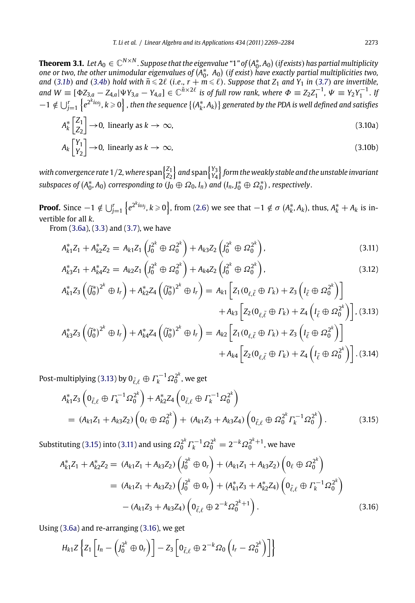<span id="page-4-0"></span> $\bf{Theorem 3.1.}$   $\,$   $Let A_0 \in \mathbb{C}^{N \times N}$  . Suppose that the eigenvalue " $1$  " of  $(A_0^*,A_0)$  (if exists) has partial multiplicity *one or two, the other unimodular eigenvalues of A*∗ <sup>0</sup>*, A*<sup>0</sup> *(if exist) have exactly partial multiplicities two,* and (3.1b) and (3.4b) hold with  $\tilde{n} \leqslant 2\ell$  (i.e.,  $r + m \leqslant \ell$ ). Suppose that  $Z_1$  and  $Y_1$  in (3.7) are invertible, and  $W \equiv [\Phi Z_{3,a} - Z_{4,a} | \Psi Y_{3,a} - Y_{4,a}] \in \mathbb{C}^{\tilde{n} \times 2\ell}$  is of full row rank, where  $\Phi \equiv Z_2 Z_1^{-1}$ ,  $\Psi \equiv Y_2 Y_1^{-1}$ . If  $-1 \notin \bigcup_{j=1}^r \left\{e^{2^ki\omega_j}, k\geqslant 0\right\}$  , then the sequence  $\{(A^*_k, A_k)\}$  $\{(A^*_k, A_k)\}$  $\{(A^*_k, A_k)\}$  generated by the PDA is well defined and satisfies

$$
A_k^* \begin{bmatrix} Z_1 \\ Z_2 \end{bmatrix} \to 0, \text{ linearly as } k \to \infty,
$$
\n(3.10a)

$$
A_k \begin{bmatrix} Y_1 \\ Y_2 \end{bmatrix} \to 0, \text{ linearly as } k \to \infty,
$$
\n(3.10b)

with convergence rate  $1/2$ , where  $\text{span}\begin{Bmatrix} Z_1 \ Z_2 \end{Bmatrix}$  $\}$  *and* span $\begin{cases} Y_3 \\ Y_4 \end{cases}$  *form the weakly stable and the unstable invariant subspaces of*  $(A_0^*, A_0)$  corresponding to  $\widetilde{(J_0 \oplus \Omega_0, I_n)}$  and  $(I_n, J_0^* \oplus \Omega_0^*)$ , respectively.

**Proof.** Since  $-1 \notin \bigcup_{j=1}^r \left\{ e^{2^ki\omega_j}, k \geqslant 0 \right\}$ , from (2.6) we see that  $-1 \notin \sigma$   $(A_k^*, A_k)$ , thus,  $A_k^* + A_k$  is invertible for all *k*.

From (3.6a), (3.3) and (3.7), we have

$$
A_{k1}^* Z_1 + A_{k2}^* Z_2 = A_{k1} Z_1 \left( J_0^{2^k} \oplus \Omega_0^{2^k} \right) + A_{k3} Z_2 \left( J_0^{2^k} \oplus \Omega_0^{2^k} \right), \tag{3.11}
$$

$$
A_{k3}^* Z_1 + A_{k4}^* Z_2 = A_{k2} Z_1 \left( J_0^{2^k} \oplus \Omega_0^{2^k} \right) + A_{k4} Z_2 \left( J_0^{2^k} \oplus \Omega_0^{2^k} \right), \tag{3.12}
$$

$$
A_{k1}^{*}Z_{3}\left(\tilde{J}_{0}^{*}\right)^{2^{k}}\oplus I_{r}\right) + A_{k2}^{*}Z_{4}\left(\tilde{J}_{0}^{*}\right)^{2^{k}}\oplus I_{r}\right) = A_{k1}\left[Z_{1}(0_{\ell,\tilde{\ell}}\oplus\Gamma_{k}) + Z_{3}\left(I_{\tilde{\ell}}\oplus\Omega_{0}^{2^{k}}\right)\right] + A_{k3}\left[Z_{2}(0_{\ell,\tilde{\ell}}\oplus\Gamma_{k}) + Z_{4}\left(I_{\tilde{\ell}}\oplus\Omega_{0}^{2^{k}}\right)\right],
$$
\n(3.13)\n
$$
A_{k3}^{*}Z_{3}\left(\tilde{J}_{0}^{*}\right)^{2^{k}}\oplus I_{r}\right) + A_{k4}^{*}Z_{4}\left(\tilde{J}_{0}^{*}\right)^{2^{k}}\oplus I_{r}\right) = A_{k2}\left[Z_{1}(0_{\ell,\tilde{\ell}}\oplus\Gamma_{k}) + Z_{3}\left(I_{\tilde{\ell}}\oplus\Omega_{0}^{2^{k}}\right)\right] + A_{k4}\left[Z_{2}(0_{\ell,\tilde{\ell}}\oplus\Gamma_{k}) + Z_{4}\left(I_{\tilde{\ell}}\oplus\Omega_{0}^{2^{k}}\right)\right].
$$
\n(3.14)

Post-multiplying (3.13) by  $0_{\tilde{\ell},\ell} \oplus \varGamma_k^{-1}\varOmega_0^{2^k}$ , we get

$$
A_{k1}^{*}Z_{3}\left(0_{\tilde{\ell},\ell}\oplus\Gamma_{k}^{-1}\Omega_{0}^{2^{k}}\right)+A_{k2}^{*}Z_{4}\left(0_{\tilde{\ell},\ell}\oplus\Gamma_{k}^{-1}\Omega_{0}^{2^{k}}\right)\\ = (A_{k1}Z_{1}+A_{k3}Z_{2})\left(0_{\ell}\oplus\Omega_{0}^{2^{k}}\right)+(A_{k1}Z_{3}+A_{k3}Z_{4})\left(0_{\tilde{\ell},\ell}\oplus\Omega_{0}^{2^{k}}\Gamma_{k}^{-1}\Omega_{0}^{2^{k}}\right).
$$
\n(3.15)

Substituting (3.15) into (3.11) and using  $\Omega_0^{2^k} \varGamma_k^{-1} \varOmega_0^{2^k} = 2^{-k} \varOmega_0^{2^k+1}$ , we have

$$
A_{k1}^* Z_1 + A_{k2}^* Z_2 = (A_{k1} Z_1 + A_{k3} Z_2) \left( J_0^{2^k} \oplus 0_r \right) + (A_{k1} Z_1 + A_{k3} Z_2) \left( 0_\ell \oplus \Omega_0^{2^k} \right)
$$
  
=  $(A_{k1} Z_1 + A_{k3} Z_2) \left( J_0^{2^k} \oplus 0_r \right) + (A_{k1}^* Z_3 + A_{k2}^* Z_4) \left( 0_{\tilde{\ell}, \ell} \oplus \Gamma_k^{-1} \Omega_0^{2^k} \right)$   
-  $(A_{k1} Z_3 + A_{k3} Z_4) \left( 0_{\tilde{\ell}, \ell} \oplus 2^{-k} \Omega_0^{2^k + 1} \right).$  (3.16)

Using (3.6a) and re-arranging (3.16), we get

$$
H_{k1}Z\left\{Z_1\left[I_n-\left(J_0^{2^k}\oplus 0_r\right)\right]-Z_3\left[0_{\tilde{\ell},\ell}\oplus 2^{-k}\Omega_0\left(I_r-\Omega_0^{2^k}\right)\right]\right\}
$$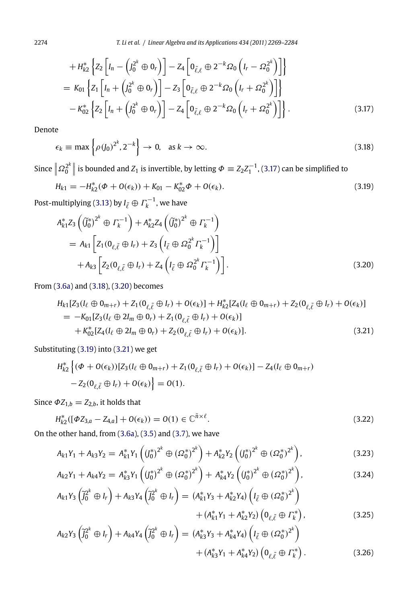$$
+ H_{k2}^* \left\{ Z_2 \left[ I_n - \left( J_0^{2^k} \oplus 0_r \right) \right] - Z_4 \left[ 0_{\tilde{\ell}, \ell} \oplus 2^{-k} \Omega_0 \left( I_r - \Omega_0^{2^k} \right) \right] \right\}
$$
  
=  $K_{01} \left\{ Z_1 \left[ I_n + \left( J_0^{2^k} \oplus 0_r \right) \right] - Z_3 \left[ 0_{\tilde{\ell}, \ell} \oplus 2^{-k} \Omega_0 \left( I_r + \Omega_0^{2^k} \right) \right] \right\}$   
-  $K_{02}^* \left\{ Z_2 \left[ I_n + \left( J_0^{2^k} \oplus 0_r \right) \right] - Z_4 \left[ 0_{\tilde{\ell}, \ell} \oplus 2^{-k} \Omega_0 \left( I_r + \Omega_0^{2^k} \right) \right] \right\}.$  (3.17)

Denote

$$
\epsilon_k \equiv \max \left\{ \rho \left( J_0 \right)^{2^k}, 2^{-k} \right\} \to 0, \quad \text{as } k \to \infty. \tag{3.18}
$$

Since  $\left\| \varOmega_0^{2^k} \right\|$  is bounded and  $Z_1$  is invertible, by letting  $\varPhi \equiv Z_2 Z_1^{-1}$ , (3.17) can be simplified to

$$
H_{k1} = -H_{k2}^*(\Phi + O(\epsilon_k)) + K_{01} - K_{02}^*\Phi + O(\epsilon_k). \tag{3.19}
$$

Post-multiplying (3.13) by  $I_{\tilde{\ell}}\oplus \varGamma_k^{-1}$ , we have

$$
A_{k1}^{*}Z_{3}\left(\tilde{J}_{0}^{*}\right)^{2^{k}} \oplus \Gamma_{k}^{-1}\right) + A_{k2}^{*}Z_{4}\left(\tilde{J}_{0}^{*}\right)^{2^{k}} \oplus \Gamma_{k}^{-1}\right)
$$
  
=  $A_{k1}\left[Z_{1}(0_{\ell,\tilde{\ell}} \oplus I_{r}) + Z_{3}\left(I_{\tilde{\ell}} \oplus \Omega_{0}^{2^{k}}\Gamma_{k}^{-1}\right)\right]$   
+  $A_{k3}\left[Z_{2}(0_{\ell,\tilde{\ell}} \oplus I_{r}) + Z_{4}\left(I_{\tilde{\ell}} \oplus \Omega_{0}^{2^{k}}\Gamma_{k}^{-1}\right)\right].$  (3.20)

From (3.6a) and (3.18), (3.20) becomes

$$
H_{k1}[Z_3(I_{\ell} \oplus 0_{m+r}) + Z_1(0_{\ell,\tilde{\ell}} \oplus I_r) + O(\epsilon_k)] + H_{k2}^*[Z_4(I_{\ell} \oplus 0_{m+r}) + Z_2(0_{\ell,\tilde{\ell}} \oplus I_r) + O(\epsilon_k)]
$$
  
=  $-K_{01}[Z_3(I_{\ell} \oplus 2I_m \oplus 0_r) + Z_1(0_{\ell,\tilde{\ell}} \oplus I_r) + O(\epsilon_k)]$   
+  $K_{02}^*[Z_4(I_{\ell} \oplus 2I_m \oplus 0_r) + Z_2(0_{\ell,\tilde{\ell}} \oplus I_r) + O(\epsilon_k)].$  (3.21)

Substituting (3.19) into (3.21) we get

$$
H_{k2}^* \left\{ (\phi + O(\epsilon_k)) [Z_3(I_\ell \oplus 0_{m+r}) + Z_1(0_{\ell, \tilde{\ell}} \oplus I_r) + O(\epsilon_k)] - Z_4(I_\ell \oplus 0_{m+r}) - Z_2(0_{\ell, \tilde{\ell}} \oplus I_r) + O(\epsilon_k) \right\} = O(1).
$$

Since  $\Phi Z_{1,b} = Z_{2,b}$ , it holds that

$$
H_{k2}^*([\Phi Z_{3,a} - Z_{4,a}] + O(\epsilon_k)) = O(1) \in \mathbb{C}^{\tilde{n}\times \ell}.
$$
\n(3.22)

On the other hand, from (3.6a), (3.5) and (3.7), we have

$$
A_{k1}Y_1 + A_{k3}Y_2 = A_{k1}^*Y_1 \left( (J_0^*)^{2^k} \oplus (\Omega_0^*)^{2^k} \right) + A_{k2}^*Y_2 \left( (J_0^*)^{2^k} \oplus (\Omega_0^*)^{2^k} \right), \tag{3.23}
$$

$$
A_{k2}Y_1 + A_{k4}Y_2 = A_{k3}^*Y_1((J_0^*)^{2^k} \oplus (\Omega_0^*)^{2^k}) + A_{k4}^*Y_2((J_0^*)^{2^k} \oplus (\Omega_0^*)^{2^k}),
$$
\n
$$
A_{k1}Y_2 + A_{k4}Y_2 + A_{k4}Y_2 + A_{k4}Y_2 + A_{k4}Y_2 + A_{k4}Y_2 + A_{k4}Y_2 + A_{k4}Y_2 + A_{k4}Y_2 + A_{k4}Y_2 + A_{k4}Y_2 + A_{k4}Y_2 + A_{k4}Y_2 + A_{k4}Y_2 + A_{k4}Y_2 + A_{k4}Y_2 + A_{k4}Y_2 + A_{k4}Y_2 + A_{k4}Y_2 + A_{k4}Y_2 + A_{k4}Y_2 + A_{k4}Y_2 + A_{k4}Y_2 + A_{k4}Y_2 + A_{k4}Y_2 + A_{k4}Y_2 + A_{k4}Y_2 + A_{k4}Y_2 + A_{k4}Y_2 + A_{k4}Y_2 + A_{k4}Y_2 + A_{k4}Y_2 + A_{k4}Y_2 + A_{k4}Y_2 + A_{k4}Y_2 + A_{k4}Y_2 + A_{k4}Y_2 + A_{k4}Y_2 + A_{k4}Y_2 + A_{k4}Y_2 + A_{k4}Y_2 + A_{k4}Y_2 + A_{k4}Y_2 + A_{k4}Y_2 + A_{k4}Y_2 + A_{k4}Y_2 + A_{k4}Y_2 + A_{k4}Y_2 + A_{k4}Y_2 + A_{k4}Y_2 + A_{k4}Y_2 + A_{k4}Y_2 + A_{k4}Y_2 + A_{k4}Y_2 + A_{k4}Y_2 + A_{k4}Y_2 + A_{k4}Y_2 + A_{k4}Y_2 + A_{k4}Y_2 + A_{k4}Y_2 + A_{k4}Y_2 + A_{k4}Y_2 + A_{k4}Y_2 + A_{k4}Y_2 + A_{k4}Y_2 + A_{k4}Y_2 + A_{k4}Y_2 + A_{k4}Y_2 + A_{k4}Y_2 + A_{k4}Y_2 + A_{k4}Y_2 + A_{k4}Y_2 + A_{k4}Y_2 + A_{k
$$

$$
A_{k1}Y_3\left(\tilde{J}_0^{2^k} \oplus I_r\right) + A_{k3}Y_4\left(\tilde{J}_0^{2^k} \oplus I_r\right) = (A_{k1}^*Y_3 + A_{k2}^*Y_4)\left(I_{\tilde{\ell}} \oplus (\Omega_0^*)^{2^k}\right) + (A_{k1}^*Y_1 + A_{k2}^*Y_2)\left(0_{\ell,\tilde{\ell}} \oplus \Gamma_k^*\right),
$$
\n(3.25)

$$
A_{k2}Y_3\left(\tilde{J}_0^{2^k} \oplus I_r\right) + A_{k4}Y_4\left(\tilde{J}_0^{2^k} \oplus I_r\right) = (A_{k3}^*Y_3 + A_{k4}^*Y_4)\left(I_{\tilde{\ell}} \oplus (\Omega_0^*)^{2^k}\right) + (A_{k3}^*Y_1 + A_{k4}^*Y_2)\left(0_{\ell,\tilde{\ell}} \oplus \Gamma_k^*\right).
$$
\n(3.26)

<span id="page-5-0"></span>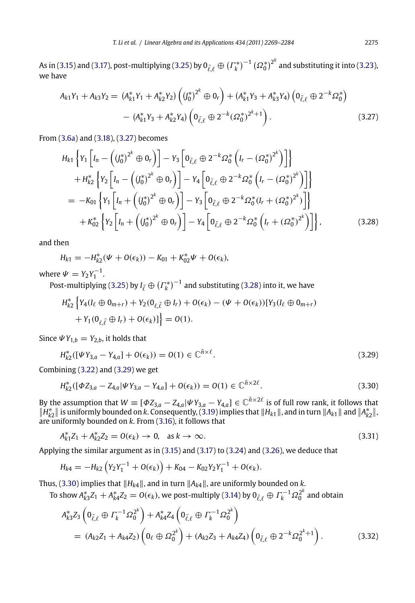As in (3.15) and (3.17), post-multiplying (3.25) by  $0_{\tilde{\ell},\ell}\oplus{( {\Gamma^*_k})}^{-1} \left({\Omega^*_0}\right)^{2^k}$  and substituting it into (3.23), we have

$$
A_{k1}Y_1 + A_{k3}Y_2 = (A_{k1}^*Y_1 + A_{k2}^*Y_2) \left( (J_0^*)^{2^k} \oplus 0_r \right) + (A_{k1}^*Y_3 + A_{k3}^*Y_4) \left( 0_{\tilde{\ell},\ell} \oplus 2^{-k}\Omega_0^* \right)
$$

$$
- (A_{k1}^*Y_3 + A_{k2}^*Y_4) \left( 0_{\tilde{\ell},\ell} \oplus 2^{-k} (\Omega_0^*)^{2^k+1} \right).
$$
(3.27)

From (3.6a) and (3.18), (3.27) becomes

$$
H_{k1}\left\{Y_{1}\left[I_{n}-\left((J_{0}^{*})^{2^{k}}\oplus 0_{r}\right)\right]-Y_{3}\left[0_{\tilde{\ell},\ell}\oplus 2^{-k}\Omega_{0}^{*}\left(I_{r}-(\Omega_{0}^{*})^{2^{k}}\right)\right]\right\}+H_{k2}^{*}\left\{Y_{2}\left[I_{n}-\left((J_{0}^{*})^{2^{k}}\oplus 0_{r}\right)\right]-Y_{4}\left[0_{\tilde{\ell},\ell}\oplus 2^{-k}\Omega_{0}^{*}\left(I_{r}-(\Omega_{0}^{*})^{2^{k}}\right)\right]\right\}=-K_{01}\left\{Y_{1}\left[I_{n}+\left((J_{0}^{*})^{2^{k}}\oplus 0_{r}\right)\right]-Y_{3}\left[0_{\tilde{\ell},\ell}\oplus 2^{-k}\Omega_{0}^{*}(I_{r}+(\Omega_{0}^{*})^{2^{k}})\right]\right\}+K_{02}^{*}\left\{Y_{2}\left[I_{n}+\left((J_{0}^{*})^{2^{k}}\oplus 0_{r}\right)\right]-Y_{4}\left[0_{\tilde{\ell},\ell}\oplus 2^{-k}\Omega_{0}^{*}\left(I_{r}+(\Omega_{0}^{*})^{2^{k}}\right)\right]\right\},\tag{3.28}
$$

and then

$$
H_{k1} = -H_{k2}^*(\Psi + O(\epsilon_k)) - K_{01} + K_{02}^*\Psi + O(\epsilon_k),
$$

where  $\Psi = Y_2 Y_1^{-1}$  $\Psi = Y_2 Y_1^{-1}$  $\Psi = Y_2 Y_1^{-1}$ .

Post-multiplying (3.25) by  $I_{\tilde{\ell}} \oplus (T_k^*)^{-1}$  and substituting (3.28) into it, we have

$$
H_{k2}^* \left\{ Y_4(I_\ell \oplus 0_{m+r}) + Y_2(0_{\ell, \tilde{\ell}} \oplus I_r) + O(\epsilon_k) - (\Psi + O(\epsilon_k)) [Y_3(I_\ell \oplus 0_{m+r}) + Y_1(0_{\ell, \tilde{\ell}} \oplus I_r) + O(\epsilon_k) ] \right\} = O(1).
$$

Since  $\psi Y_{1,b} = Y_{2,b}$ , it holds that

$$
H_{k2}^*([\Psi Y_{3,a} - Y_{4,a}] + O(\epsilon_k)) = O(1) \in \mathbb{C}^{\tilde{n}\times \ell}.
$$
\n(3.29)

Combining (3.22) and (3.29) we get

$$
H_{k2}^*([\Phi Z_{3,a} - Z_{4,a} | \Psi Y_{3,a} - Y_{4,a}] + O(\epsilon_k)) = O(1) \in \mathbb{C}^{\tilde{n} \times 2\ell}.
$$
\n(3.30)

By the assumption that  $W \equiv [\Phi Z_{3,a} - Z_{4,a} | \Psi Y_{3,a} - Y_{4,a}] \in \mathbb{C}^{\tilde{n} \times 2\ell}$  $W \equiv [\Phi Z_{3,a} - Z_{4,a} | \Psi Y_{3,a} - Y_{4,a}] \in \mathbb{C}^{\tilde{n} \times 2\ell}$  $W \equiv [\Phi Z_{3,a} - Z_{4,a} | \Psi Y_{3,a} - Y_{4,a}] \in \mathbb{C}^{\tilde{n} \times 2\ell}$  is of full row rank, it follows that  $\|H_{k2}^*\|$  is uniformly bounded on k. Consequently, (3.19) implies that  $\|H_{k1}\|$ , and in turn  $\|A_{k1}\|$ are uniformly bounded on *k*. From (3.16), it follows that

$$
A_{k1}^* Z_1 + A_{k2}^* Z_2 = O(\epsilon_k) \to 0, \quad \text{as } k \to \infty.
$$

Applying the similar argument as in (3.15) and (3.17) to (3.24) and (3.26), we deduce that

$$
H_{k4}=-H_{k2}\left(Y_2Y_1^{-1}+O(\epsilon_k)\right)+K_{04}-K_{02}Y_2Y_1^{-1}+O(\epsilon_k).
$$

Thus, (3.30) implies that  $||H_{k4}||$ , and in turn  $||A_{k4}||$ , are uniformly bounded on *k*.

To show  $A_{k3}^*Z_1+A_{k4}^*Z_2=O(\epsilon_k)$ , we post-multiply (3.14) by  $0_{\tilde{\ell},\ell}\oplus\varGamma_k^{-1}\varOmega_0^{2^k}$  and obtain

$$
A_{k3}^* Z_3 \left( 0_{\tilde{\ell},\ell} \oplus \Gamma_k^{-1} \Omega_0^{2^k} \right) + A_{k4}^* Z_4 \left( 0_{\tilde{\ell},\ell} \oplus \Gamma_k^{-1} \Omega_0^{2^k} \right)
$$
  
=  $(A_{k2}Z_1 + A_{k4}Z_2) \left( 0_\ell \oplus \Omega_0^{2^k} \right) + (A_{k2}Z_3 + A_{k4}Z_4) \left( 0_{\tilde{\ell},\ell} \oplus 2^{-k} \Omega_0^{2^k+1} \right).$  (3.32)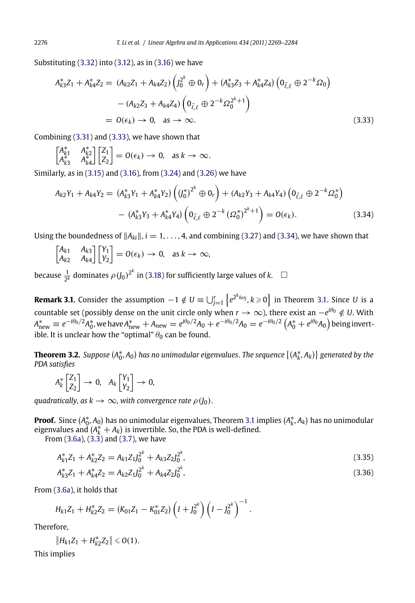Substituting (3.32) into (3.12), as in (3.16) we have

$$
A_{k3}^* Z_1 + A_{k4}^* Z_2 = (A_{k2} Z_1 + A_{k4} Z_2) \left( J_0^2{}^k \oplus 0_r \right) + (A_{k3}^* Z_3 + A_{k4}^* Z_4) \left( 0_{\tilde{\ell}, \ell} \oplus 2^{-k} \Omega_0 \right)
$$

$$
- (A_{k2} Z_3 + A_{k4} Z_4) \left( 0_{\tilde{\ell}, \ell} \oplus 2^{-k} \Omega_0^2{}^{k+1} \right)
$$

$$
= O(\epsilon_k) \to 0, \text{ as } \to \infty.
$$
(3.33)

Combining (3.31) and (3.33), we have shown that

 $\begin{bmatrix} A_{k1}^* & A_{k2}^* \\ A_{k3}^* & A_{k4}^* \end{bmatrix}$  $7Z_1$ *Z*2  $= O(\epsilon_k) \to 0$ , as  $k \to \infty$ .

Similarly, as in (3.15) and (3.16), f[rom \(](#page-5-0)3.24) and (3.26) we have

$$
A_{k2}Y_1 + A_{k4}Y_2 = (A_{k3}^*Y_1 + A_{k4}^*Y_2) \left( (J_0^*)^{2^k} \oplus 0_r \right) + (A_{k2}Y_3 + A_{k4}Y_4) \left( 0_{\tilde{\ell},\ell} \oplus 2^{-k}\Omega_0^* \right)
$$

$$
- (A_{k3}^*Y_3 + A_{k4}^*Y_4) \left( 0_{\tilde{\ell},\ell} \oplus 2^{-k} (\Omega_0^*)^{2^k+1} \right) = O(\epsilon_k).
$$
(3.34)

Using the boundedness of  $||A_{ki}||$ ,  $i = 1, \ldots, 4$ , and combining (3.27) and (3.34), we have shown that

$$
\begin{bmatrix} A_{k1} & A_{k3} \\ A_{k2} & A_{k4} \end{bmatrix} \begin{bmatrix} Y_1 \\ Y_2 \end{bmatrix} = O(\epsilon_k) \to 0, \text{ as } k \to \infty,
$$

because  $\frac{1}{2^k}$  dominates  $\rho$  (*J*<sub>0</sub>)<sup>2*k*</sup> in (3.18) for sufficiently large values of *k*.  $\Box$ 

**Remark 3.1.** Consider the assumption  $-1 \notin U \equiv \bigcup_{j=1}^r \left\{ e^{2^k i \omega_j}, k \geqslant 0 \right\}$  in Theorem 3.1. Since  $U$  is a countable set (possibly dense on the unit circle only when *r* → ∞), there exist an −*eiθ*<sup>0</sup> ∈*/ U*. With  $A_{\rm new}^*\equiv e^{-i\theta_0/2}A_0^*$ , we have  $A_{\rm new}^*+A_{\rm new}=e^{i\theta_0/2}A_0+e^{-i\theta_0/2}A_0=e^{-i\theta_0/2}\left(A_0^*+e^{i\theta_0}A_0\right)$  $A_{\rm new}^*+A_{\rm new}=e^{i\theta_0/2}A_0+e^{-i\theta_0/2}A_0=e^{-i\theta_0/2}\left(A_0^*+e^{i\theta_0}A_0\right)$  $A_{\rm new}^*+A_{\rm new}=e^{i\theta_0/2}A_0+e^{-i\theta_0/2}A_0=e^{-i\theta_0/2}\left(A_0^*+e^{i\theta_0}A_0\right)$  being invertible. It is [uncle](#page-3-0)a[r how](#page-3-0) the ["opt](#page-3-0)imal"  $\theta_0$  can be found.

**Theorem 3.2.** Suppose  $(A_0^*,A_0)$  has no unimodular eigenvalues. The sequence  $\{(A_k^*,A_k)\}$  generated by the *PDA satisfies*

$$
A_k^* \begin{bmatrix} Z_1 \\ Z_2 \end{bmatrix} \rightarrow 0, \quad A_k \begin{bmatrix} Y_1 \\ Y_2 \end{bmatrix} \rightarrow 0,
$$

*quadratically, as*  $k \to \infty$ *, with convergence rate*  $\rho(J_0)$ .

**Proof.** Since  $(A_0^*,A_0)$  has no unimodular eigenvalues, Theorem 3.1 implies  $(A_k^*,A_k)$  has no unimodular eigenvalues and  $(A_k^* + A_k)$  is invertible. So, the PDA is well-defined.

From (3.6a), (3.3) and (3.7), we have

$$
A_{k1}^* Z_1 + A_{k2}^* Z_2 = A_{k1} Z_1 J_0^{2^k} + A_{k3} Z_2 J_0^{2^k},\tag{3.35}
$$

$$
A_{k3}^* Z_1 + A_{k4}^* Z_2 = A_{k2} Z_1 J_0^{2^k} + A_{k4} Z_2 J_0^{2^k},
$$
\n(3.36)

From (3.6a), it holds that

$$
H_{k1}Z_1 + H_{k2}^*Z_2 = (K_{01}Z_1 - K_{01}^*Z_2) \left(I + J_0^{2^k}\right) \left(I - J_0^{2^k}\right)^{-1}.
$$

Therefore,

$$
||H_{k1}Z_1 + H_{k2}^*Z_2|| \leq 0(1).
$$

This implies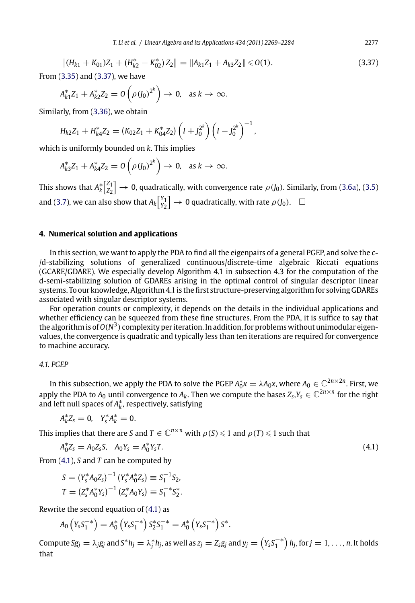$$
||(H_{k1} + K_{01})Z_1 + (H_{k2}^* - K_{02}^*)Z_2|| = ||A_{k1}Z_1 + A_{k3}Z_2|| \leq 0(1).
$$
\n(3.37)

From (3.35) and (3.37), we have

$$
A_{k1}^* Z_1 + A_{k2}^* Z_2 = O\left(\rho (J_0)^{2^k}\right) \to 0, \text{ as } k \to \infty.
$$

Similarly, from (3.36), we obtain

$$
H_{k2}Z_1 + H_{k4}^*Z_2 = (K_{02}Z_1 + K_{04}^*Z_2) \left(I + J_0^{2^k}\right) \left(I - J_0^{2^k}\right)^{-1},
$$

which is uniformly bounded on *k*. This implies

$$
A_{k3}^* Z_1 + A_{k4}^* Z_2 = O\left(\rho (J_0)^{2^k}\right) \to 0, \text{ as } k \to \infty.
$$

This shows that  $A_k^* \begin{bmatrix} Z_1 \\ Z_2 \end{bmatrix}$  $\big] \rightarrow 0$ , quadratically, with convergence rate  $\rho(f_0)$ . Similarly, from (3.6a), (3.5) and (3.7), we can also show that  $A_k\begin{bmatrix} Y_1 \ Y_2 \end{bmatrix}$  $\left.\rule{0cm}{1cm}\right]\rightarrow 0$  quadratically, with rate  $\rho\left(\rule{0cm}{1cm}0\right)$ .  $\left.\rule{0cm}{1cm}\right]$ 

# **4. Numerical solution and applications**

In this section, we want to apply the PDA to find all the eigenpairs of a general PGEP, and solve the c- /d-stabilizing solutions of generalized continuous/discrete-time algebraic Riccati equations (GCARE/GDARE). We especially develop Algorithm 4.1 in subsection 4.3 for the computation of the d-semi-stabilizing solution of GDAREs arising in the optimal control of singular descriptor linear systems. To our knowledge, Algorithm 4.1 is the first structure-preserving algorithm for solving GDAREs associated with singular descriptor systems.

For operation counts or complexity, it depends on the details in the individual applications and whether efficiency can be squeezed from these fine structures. From the PDA, it is suffice to say that the algorithm is of  $O(N^3)$  complexity per iteration. In addition, for problems without unimodular eigenvalues, the convergence is quadratic and typically less than ten iterations are required for convergence to machine accuracy.

# *4.1. PGEP*

In this subsection, we apply the PDA to solve the PGEP  $A_0^*x=\lambda A_0x$ , where  $A_0\in\mathbb{C}^{2n\times 2n}.$  First, we apply the PDA to  $A_0$  until convergence to  $A_k$ . Then we compute the bases  $Z_s, Y_s \in \mathbb{C}^{2n \times n}$  for the right and left null spaces of  $A_k^*$ , respectively, satisfying

$$
A_k^* Z_s = 0, \quad Y_s^* A_k^* = 0.
$$

This implies that there are *S* and  $T \in \mathbb{C}^{n \times n}$  with  $\rho(S) \leq 1$  and  $\rho(T) \leq 1$  such that

$$
A_0^* Z_s = A_0 Z_s S, \quad A_0 Y_s = A_0^* Y_s T. \tag{4.1}
$$

From (4.1), *S* and *T* can be computed by

$$
S = (Y_s^* A_0 Z_s)^{-1} (Y_s^* A_0^* Z_s) \equiv S_1^{-1} S_2,
$$
  
\n
$$
T = (Z_s^* A_0^* Y_s)^{-1} (Z_s^* A_0 Y_s) \equiv S_1^{-*} S_2^*.
$$

Rewrite the second equation of  $(4.1)$  as

$$
A_0\left(Y_sS_1^{-*}\right) = A_0^*\left(Y_sS_1^{-*}\right)S_2^*S_1^{-*} = A_0^*\left(Y_sS_1^{-*}\right)S^*.
$$

Compute S $g_j = \lambda_j g_j$  and  $S^*h_j = \lambda_j^*h_j$ , as well as  $z_j = Z_s g_j$  and  $y_j = \left(Y_s S_1^{-*}\right)h_j$ , for  $j = 1, \ldots, n$ . It holds that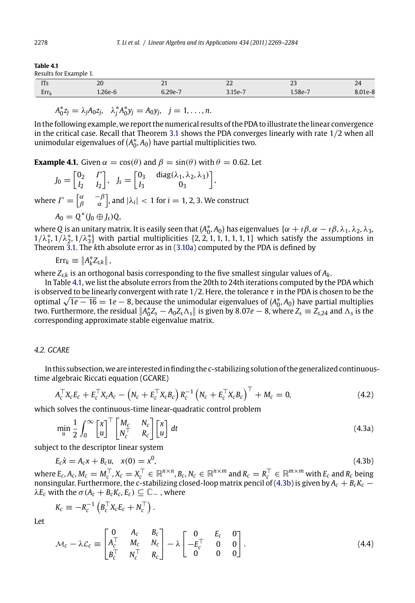#### <span id="page-9-0"></span>**Table 4.1**

Results for Example 1.

| nesencs for mainlete it. |      |       |                                           |                       |        |  |  |  |
|--------------------------|------|-------|-------------------------------------------|-----------------------|--------|--|--|--|
| <br>112                  | zu   | . .   | $\sim$ $\sim$<br>$\overline{\phantom{a}}$ | $\sim$<br>$\sim$      | $\sim$ |  |  |  |
| Err <sub>i</sub>         | ەكلا | . ാറം |                                           | $^{\circ}$ $^{\circ}$ |        |  |  |  |

 $A_0^* z_j = \lambda_j A_0 z_j$ ,  $\lambda_j^* A_0^* y_j = A_0 y_j$ ,  $j = 1, ..., n$ .

In the following example, we report the numerical results of the PDA to illustrate the linear convergence in the critical case. Recall that Theorem 3.1 shows the PDA converges linearly with rate 1*/*2 when all unimodu[lar e](#page-3-0)igenvalues of  $(A_0^*,A_0)$  have p[artial](#page-4-0) multiplicities two.

**Example 4.1.** Given  $\alpha = \cos(\theta)$  and  $\beta = \sin(\theta)$  with  $\theta = 0.62$ . Let

$$
J_0 = \begin{bmatrix} 0_2 & \Gamma \\ I_2 & I_2 \end{bmatrix}, \quad J_s = \begin{bmatrix} 0_3 & \text{diag}(\lambda_1, \lambda_2, \lambda_3) \\ I_3 & 0_3 \end{bmatrix},
$$

where  $\Gamma = \begin{bmatrix} \alpha & -\beta \ \beta & \alpha \end{bmatrix}$ , and  $|\lambda_i| < 1$  for  $i = 1, 2, 3$ . We construct

$$
A_0=Q^*(J_0\oplus J_s)Q,
$$

where Q is an unitary matrix. It is easily seen that  $(A_0^*, A_0)$  has eigenvalues  $\{\alpha + i\beta, \alpha - i\beta, \lambda_1, \lambda_2, \lambda_3,$  $1/\lambda_1^*, 1/\lambda_2^*, 1/\lambda_3^*$  with partial multiplicities {2, 2, 1, 1, 1, 1, 1, 1} which satisfy the assumptions in Theorem 3.1. The *k*th absolute error as in (3.10a) computed by the PDA is defined by

# $\text{Err}_k \equiv \|A_k^* Z_{s,k}\|$

where *Zs,k* is an orthogonal basis corresponding to the five smallest singular values of *Ak*.

In Table 4.1, we list the absolute errors from the 20th to 24th iterations computed by the PDA which is observed to be linearly convergent with rate 1*/*2. Here, the tolerance *τ* in the PDA is chosen to be the is observed to be linearly convergent with rate 1/2. Here, the tolerance τ in the PDA is chosen to be the<br>optimal √1*e* − 16 = 1*e* − 8, because the unimodular eigenvalues of (A<sub>ỗ</sub>, A<sub>0</sub>) have partial multiplies two. Furthermore, the residual  $\|A_0^*Z_s - A_0Z_s\Lambda_s\|$  is given by 8*.07e*  $-$  8, where  $Z_s \equiv Z_{s,24}$  and  $\Lambda_s$  is the corresponding approximate stable eigenvalue matrix.

# *4.2. GCARE*

In this subsection,we are interested in finding the c-stabilizing solution of the generalized continuoustime algebraic Riccati equation (GCARE)

$$
A_c^{\top} X_c E_c + E_c^{\top} X_c A_c - \left( N_c + E_c^{\top} X_c B_c \right) R_c^{-1} \left( N_c + E_c^{\top} X_c B_c \right)^{\top} + M_c = 0, \tag{4.2}
$$

which solves the continuous-time linear-quadratic control problem

$$
\min_{u} \frac{1}{2} \int_0^\infty \begin{bmatrix} x \\ u \end{bmatrix}^\top \begin{bmatrix} M_c & N_c \\ N_c^\top & R_c \end{bmatrix} \begin{bmatrix} x \\ u \end{bmatrix} dt \tag{4.3a}
$$

subject to the descriptor linear system

$$
E_c \dot{x} = A_c x + B_c u, \quad x(0) = x^0,
$$
\n(4.3b)

where  $E_c$ ,  $A_c$ ,  $M_c = M_c^{\top}$ ,  $X_c = X_c^{\top} \in \mathbb{R}^{n \times n}$ ,  $B_c$ ,  $N_c \in \mathbb{R}^{n \times m}$  and  $R_c = R_c^{\top} \in \mathbb{R}^{m \times m}$  with  $E_c$  and  $R_c$  being nonsingular. Furthermore, the c-stabilizing closed-loop matrix pencil of (4.3b) is given by  $A_c+B_cK_c-\,$  $\lambda E_c$  with the  $\sigma$  (*A<sub>c</sub>* + *B<sub>c</sub>K<sub>c</sub>*, *E<sub>c</sub>*)  $\subseteq$   $\mathbb{C}_-$  , where

 $K_c \equiv -R_c^{-1} \left( B_c^{\top} X_c E_c + N_c^{\top} \right)$ .

Let

$$
\mathcal{M}_c - \lambda \mathcal{L}_c \equiv \begin{bmatrix} 0 & A_c & B_c \\ A_c^\top & M_c & N_c \\ B_c^\top & N_c^\top & R_c \end{bmatrix} - \lambda \begin{bmatrix} 0 & E_c & 0 \\ -E_c^\top & 0 & 0 \\ 0 & 0 & 0 \end{bmatrix}.
$$
 (4.4)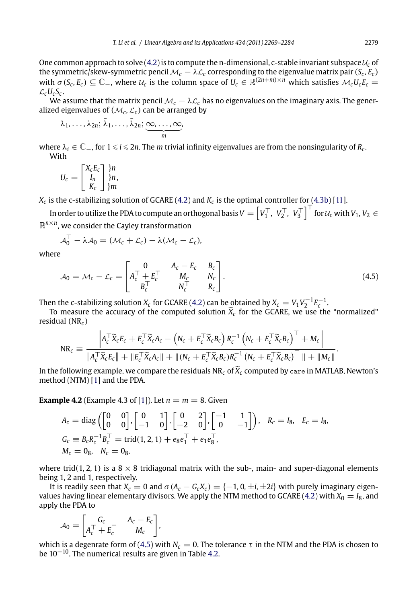One common approach to solve  $(4.2)$  is to compute the n-dimensional, c-stable invariant subspace  $u_c$  of the symmetric/skew-symmetric pencil  $\mathcal{M}_c - \lambda \mathcal{L}_c$  corresponding to the eigenvalue matrix pair  $(S_c, E_c)$ with  $\sigma$  (*S<sub>c</sub>*, *E<sub>c</sub>*)  $\subseteq$   $\mathbb{C}$ <sub>-</sub>, where  $\mathcal{U}_c$  is the column space of  $U_c \in \mathbb{R}^{(2n+m)\times n}$  which satisfies  $\mathcal{M}_c U_c E_c$  =  $\mathcal{L}_c U_c S_c$ .

We assume that the matrix pencil  $M_c - \lambda \mathcal{L}_c$  has no eigenvalues on the imagi[nary a](#page-9-0)x[is. T](#page-15-0)he generalized eigenvalues of  $(M_c, \mathcal{L}_c)$  can be arranged by

$$
\lambda_1, \ldots, \lambda_{2n}; \bar{\lambda}_1, \ldots, \bar{\lambda}_{2n}; \underbrace{\infty, \ldots, \infty}_{m},
$$

where  $\lambda_i \in \mathbb{C}$ , for  $1 \leq i \leq 2n$ . The *m* trivial infinity eigenvalues are from the nonsingularity of  $R_c$ . With

$$
U_c = \begin{bmatrix} X_c E_c \\ I_n \\ K_c \end{bmatrix} \begin{matrix} \n} n \\ \n} n, \\ \n} m \end{matrix}
$$

 $X_c$  is the c-stabilizing solution of GCARE (4.2) [and](#page-9-0)  $K_c$  is the optimal controller for (4.3b) [11].

In order to utilize the PDA to compute an orthogonal basis  $V = \left[V_1^\top,~V_2^\top,~V_3^\top\right]^\top$  for  $u_c$  with  $V_1,V_2 \in$  $\mathbb{R}^{n \times n}$ , we consider the Cayley transformation

$$
\mathcal{A}_0^\top - \lambda \mathcal{A}_0 = (\mathcal{M}_c + \mathcal{L}_c) - \lambda (\mathcal{M}_c - \mathcal{L}_c),
$$

where

$$
A_0 = M_c - \mathcal{L}_c = \begin{bmatrix} 0 & A_c - E_c & B_c \\ A_c^\top + E_c^\top & M_c & N_c \\ B_c^\top & N_c^\top & R_c \end{bmatrix}.
$$
 (4.5)

Then the c-stabilizing solution  $X_c$  $X_c$  for GCARE (4.2) can be obtained by  $X_c = V_1 V_2^{-1} E_c^{-1}$ .

To measure the accuracy of the computed solution  $\widetilde{X}_c$  for the GCARE, we use the "normalized" residual *(*NR*<sup>c</sup> )*

$$
NR_c \equiv \frac{\left\|A_c^\top \widetilde{X}_c E_c + E_c^\top \widetilde{X}_c A_c - \left(N_c + E_c^\top \widetilde{X}_c B_c\right) R_c^{-1} \left(N_c + E_c^\top \widetilde{X}_c B_c\right)^\top + M_c\right\|}{\left\|A_c^\top \widetilde{X}_c E_c\right\| + \left\|E_c^\top \widetilde{X}_c A_c\right\| + \left\|(N_c + E_c^\top \widetilde{X}_c B_c) R_c^{-1} \left(N_c + E_c^\top \widetilde{X}_c B_c\right)^\top\right\| + \|M_c\|}.
$$

In the following example, we compare the residuals  $NR_c$  of  $\widetilde{X}_c$  computed by care in MATLAB, Newton's method (NTM) [1] and the PDA.

**Example 4.2** (Example 4.3 of [1]). Let  $n = m = 8$ . Given

$$
A_c = \text{diag}\left(\begin{bmatrix} 0 & 0 \\ 0 & 0 \end{bmatrix}, \begin{bmatrix} 0 & 1 \\ -1 & 0 \end{bmatrix}, \begin{bmatrix} 0 & 2 \\ -2 & 0 \end{bmatrix}, \begin{bmatrix} -1 & 1 \\ 0 & -1 \end{bmatrix}\right), R_c = I_8, E_c = I_8,
$$
  
\n
$$
G_c \equiv B_c R_c^{-1} B_c^{\top} = \text{trid}(1, 2, 1) + e_8 e_1^{\top} + e_1 e_8^{\top},
$$
  
\n
$$
M_c = 0_8, N_c = 0_8,
$$

where trid(1, 2, 1) is a  $8 \times 8$  tridiagonal matrix with the sub-, main- and super-diagonal elements being 1*,* 2 and 1, respectively.

It is readily seen that  $X_c = 0$  and  $\sigma(A_c - G_c X_c) = \{-1, 0, \pm i, \pm 2i\}$  with purely imaginary eigenvalues having linear elementary divisors. We apply the NTM method to GCARE (4.2) with  $X_0 = I_8$ , and apply the PDA to

$$
A_0 = \begin{bmatrix} G_c & A_c - E_c \\ A_c^\top + E_c^\top & M_c \end{bmatrix},
$$

which is a degenrate form of (4.5) with  $N_c = 0$ . The tolerance  $\tau$  in the NTM and the PDA is chosen to be  $10^{-10}$ . The numerical results are given in Table 4.2.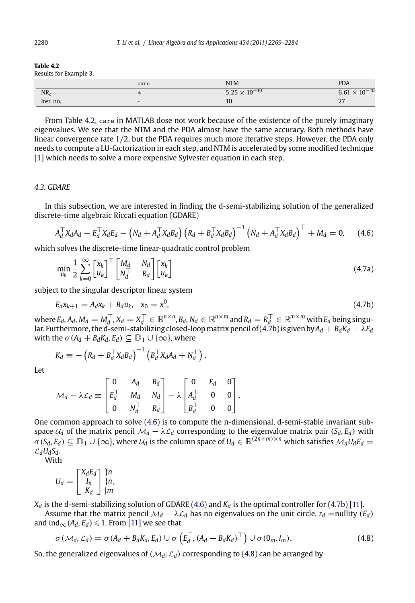#### <span id="page-11-0"></span>**Table 4.2**

Results for Example 3.

|           | care                     | <b>NTM</b>             | <b>PDA</b>             |  |  |
|-----------|--------------------------|------------------------|------------------------|--|--|
| $NR_c$    |                          | $5.25 \times 10^{-10}$ | $6.61 \times 10^{-10}$ |  |  |
| Iter, no. | $\overline{\phantom{0}}$ | 10                     | $\sim$                 |  |  |

From Table 4.2, care in MATLAB dose not work because of the existence of the purely imaginary eigenvalues. We see that the NTM and the PDA almost have the same accuracy. Both methods have linear convergence rate 1*/*2, but the PDA requires much more iterative steps. However, the PDA only needs to compute a LU-factorization in each step, and NTM is accelerated by some modified technique [1] which needs to solve a more expensive Sylvester equation in each step.

## *4.3. GDARE*

In this subsection, we are interested in finding the d-semi-stabilizing solution of the generalized discrete-time algebraic Riccati equation (GDARE)

$$
A_d^{\top} X_d A_d - E_d^{\top} X_d E_d - \left( N_d + A_d^{\top} X_d B_d \right) \left( R_d + B_d^{\top} X_d B_d \right)^{-1} \left( N_d + A_d^{\top} X_d B_d \right)^{\top} + M_d = 0, \quad (4.6)
$$

which solves the discrete-time linear-quadratic control problem

$$
\min_{u_k} \frac{1}{2} \sum_{k=0}^{\infty} \begin{bmatrix} x_k \\ u_k \end{bmatrix}^{\top} \begin{bmatrix} M_d & N_d \\ N_d & R_d \end{bmatrix} \begin{bmatrix} x_k \\ u_k \end{bmatrix}
$$
\n(4.7a)

subject to the singular descriptor linear system

$$
E_d x_{k+1} = A_d x_k + B_d u_k, \quad x_0 = x^0,
$$
\n(4.7b)

 $\mathbf{w}$ here  $E_d$ ,  $A_d$ ,  $M_d = M_d^\top$ ,  $X_d = X_d^\top \in \mathbb{R}^{n \times n}$ ,  $B_d$ ,  $N_d \in \mathbb{R}^{n \times m}$  and  $R_d = R_d^\top \in \mathbb{R}^{m \times m}$  with  $E_d$  being singular. Furthermore, the d-semi-stabilizing closed-loop matrix pencil of (4.7b) is given by  $A_d+B_dK_d-\lambda E_d$ with the  $\sigma$  ( $A_d + B_d K_d$ ,  $E_d$ )  $\subseteq D_1 \cup \{\infty\}$ , where

$$
K_d \equiv -\left(R_d + B_d^{\top} X_d B_d\right)^{-1} \left(B_d^{\top} X_d A_d + N_d^{\top}\right).
$$

Let

$$
\mathcal{M}_d - \lambda \mathcal{L}_d \equiv \begin{bmatrix} 0 & A_d & B_d \\ E_d^\top & M_d & N_d \\ 0 & N_d^\top & R_d \end{bmatrix} - \lambda \begin{bmatrix} 0 & E_d & 0 \\ A_d^\top & 0 & 0 \\ B_d^\top & 0 & 0 \end{bmatrix}.
$$

One common approach to s[olve](#page-15-0) (4.6) is to compute the n-dimensional, d-semi-stable invariant subspace  $U_d$  of the matrix pencil  $\mathcal{M}_d - \lambda \mathcal{L}_d$  corresponding to the eigenvalue matrix pair *(Sd, Ed)* with  $\sigma$  (*Sd, Ed*)  $\subseteq$  D<sub>1</sub> ∪ {∞}, where  $\mathcal{U}_d$  is the column space of  $U_d \in \mathbb{R}^{(2n+m)\times n}$  which satisfies  $\mathcal{M}_dU_dE_d =$  $\mathcal{L}_d U_d S_d$ .

With

$$
U_d = \begin{bmatrix} X_d E_d \\ I_n \\ K_d \end{bmatrix} \begin{matrix} \n\} n \\ \n\} n, \\ \n\end{matrix}
$$

 $X_d$  is the d-semi-stabilizing solution of GDARE (4.6) and  $K_d$  is the optimal controller for (4.7b) [11].

Assume that the matrix pencil  $\mathcal{M}_d - \lambda \mathcal{L}_d$  has no eigenvalues on the unit circle,  $r_d$  =nullity  $(E_d)$ and  $\text{ind}_{\infty}(A_d, E_d) \leq 1$ . From [11] we see that

$$
\sigma(\mathcal{M}_d, \mathcal{L}_d) = \sigma(A_d + B_d K_d, E_d) \cup \sigma\left(E_d^{\top}, (A_d + B_d K_d)^{\top}\right) \cup \sigma(0_m, I_m). \tag{4.8}
$$

So, the generalized eigenvalues of  $(M_d, L_d)$  corresponding to (4.8) can be arranged by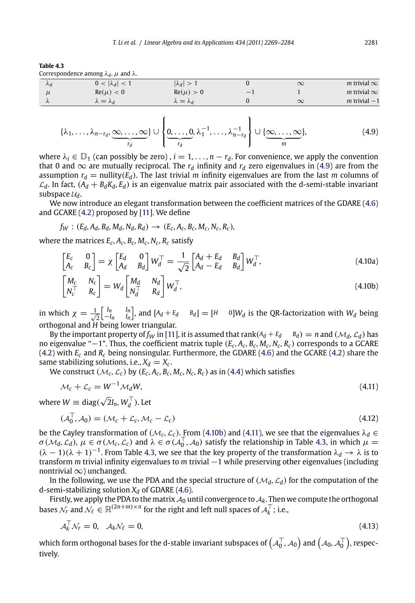<span id="page-12-0"></span>

| Table 4.3                                                |  |
|----------------------------------------------------------|--|
| Correspondence among $\lambda_d$ , $\mu$ and $\lambda$ . |  |

|                 | correspondence among $\mathcal{M}_l$ , $\mu$ and $\mathcal{M}_l$ . |                       |     |          |                    |
|-----------------|--------------------------------------------------------------------|-----------------------|-----|----------|--------------------|
| $\mathcal{A}_d$ | $0 <  \lambda_d  < 1$                                              | $ \lambda_d  > 1$     |     | $\infty$ | m trivial $\infty$ |
|                 | $Re(\mu) < 0$                                                      | $Re(\mu) > 0$         | $-$ |          | m trivial $\infty$ |
| $\lambda$       | $\lambda = \lambda_d$                                              | $\lambda = \lambda_d$ |     | $\infty$ | $m$ trivial $-1$   |

$$
\{\lambda_1, \ldots, \lambda_{n-r_d}, \underbrace{\infty, \ldots, \infty}_{r_d}\} \cup \left\{\underbrace{0, \ldots, 0}_{r_d}, \lambda_1^{-1}, \ldots, \lambda_{n-r_d}^{-1}\right\} \cup \{\underbrace{\infty, \ldots, \infty}_{m}\},
$$
\n(4.9)

where  $\lambda_i \in \mathbb{D}_1$  (can possibly be zero),  $i = 1, \ldots, n - r_d$ . For convenience, we apply the convention that 0 and  $\infty$  are mutually reciprocal. The  $r_d$  infinity and  $r_d$  zero eigenvalues in (4.9) are from the assumption  $r_d$  = nullity( $E_d$ ). The last trivial *m* infinity eigenvalues are from the last *m* columns of  $\mathcal{L}_d$ . In fact,  $(A_d + B_d K_d, E_d)$  is an eigenvalue matrix pair associated with the d-semi-stable invariant subspace  $\mathcal{U}_d$ .

We now introduce an elegant transformation between the coefficient matrices of the GDARE (4.6) and GCARE (4.2) proposed by [11]. We define

 $f_W$  :  $(E_d, A_d, B_d, M_d, N_d, R_d) \rightarrow (E_c, A_c, B_c, M_c, N_c, R_c)$ 

where the matrices  $E_c$ ,  $A_c$ ,  $B_c$ ,  $M_c$ ,  $N_c$ ,  $R_c$  [sa](#page-15-0)tisfy

$$
\begin{bmatrix} E_c & 0 \\ A_c & B_c \end{bmatrix} = \chi \begin{bmatrix} E_d & 0 \\ A_d & B_d \end{bmatrix} W_d^\top = \frac{1}{\sqrt{2}} \begin{bmatrix} A_d + E_d & B_d \\ A_d - E_d & B_d \end{bmatrix} W_d^\top,\tag{4.10a}
$$

$$
\begin{bmatrix} M_c & N_c \ N_c^\top & R_c \end{bmatrix} = W_d \begin{bmatrix} M_d & N_d \ N_d^\top & R_d \end{bmatrix} W_d^\top,
$$
\n(4.10b)

in which  $\chi = \frac{1}{\sqrt{2}}$ 2  $\begin{bmatrix} I_n & I_n \ -I_n & I_n \end{bmatrix}$ , and  $[A_d + E_d \ B_d] = [H \ 0]W_d$  is the QR-factorization with  $W_d$  being orthogonal and *H* being lower triangular.

By the important property of  $f_W$  in [11], it is assumed that rank( $A_d + E_d$   $B_d$ ) = *n* and ( $\mathcal{M}_d$ ,  $\mathcal{L}_d$ ) has no eigenvalue "−1". Thus, the coefficient matrix tuple  $(E_c, A_c, B_c, M_c, R_c)$  corresponds to a GCARE (4.2) with *Ec* and *Rc* being nonsingular. Furthermore, the GDARE (4.6) and the GCARE (4.2) share the same stabilizing solutions, i.e.,  $X_d = X_c$ .

We construct  $(\mathcal{M}_c, \mathcal{L}_c)$  by  $(E_c, A_c, B_c, M_c, N_c, R_c)$  as in (4.4) which satisfies

$$
\mathcal{M}_c + \mathcal{L}_c = W^{-1} \mathcal{M}_d W, \tag{4.11}
$$

where  $W \equiv \text{diag}(\sqrt{2}I_n, W_d^{\top})$ . Let

$$
(\mathcal{A}_0^\top, \mathcal{A}_0) = (\mathcal{M}_c + \mathcal{L}_c, \mathcal{M}_c - \mathcal{L}_c) \tag{4.12}
$$

be the Cayley transformation of  $(M_c, \mathcal{L}_c)$ . From (4.10b) and (4.11), we see that the eigenvalues  $\lambda_d \in$  $\sigma$  ( $M_d$ ,  $\mathcal{L}_d$ ),  $\mu \in \sigma$  ( $M_c$ ,  $\mathcal{L}_c$ ) and  $\lambda \in \sigma$  ( $\mathcal{A}_0^{\top}$ ,  $\mathcal{A}_0$ ) satisfy the relationship in Table 4.3, in which  $\mu =$  $(\lambda - 1)(\lambda + 1)^{-1}$ . From Table 4.3, we see that the key property of the transformation  $\lambda_d \to \lambda$  is to transform *m* trivial infinity eigenvalues to *m* trivial −1 while preserving other eigenvalues (including nontrivial  $\infty$ ) unchanged.

In the following, we use the PDA and the special structure of  $(M_d, L_d)$  for the computation of the d-semi-stabilizing solution  $X_d$  of GDARE (4.6).

Firstly, we apply the PDA to the matrix  $A_0$  until convergence to  $A_k$ . Then we compute the orthogonal bases  $\mathcal{N}_r$  and  $\mathcal{N}_\ell \in \mathbb{R}^{(2n+m)\times n}$  for the right and left null spaces of  $\mathcal{A}_k^\top$ ; i.e.,

$$
\mathcal{A}_k^\top \mathcal{N}_r = 0, \quad \mathcal{A}_k \mathcal{N}_\ell = 0,\tag{4.13}
$$

which form orthogonal bases for the d-stable invariant subspaces of  $\left(\mathcal{A}_0^{\top},\mathcal{A}_0\right)$  and  $\left(\mathcal{A}_0,\mathcal{A}_0^{\top}\right)$ , respectively.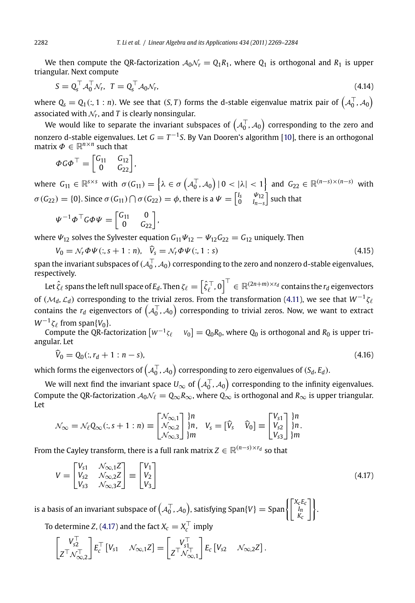We then compute the QR-factorization  $A_0N_r = Q_1R_1$ , where  $Q_1$  is orthogonal and  $R_1$  is upper triangular. Next compute

$$
S = Q_s^\top \mathcal{A}_0^\top \mathcal{N}_r, \quad T = Q_s^\top \mathcal{A}_0 \mathcal{N}_r,\tag{4.14}
$$

where  $Q_\mathsf{s} = Q_1(:,1:n)$ . We see that  $(S,T)$  forms the d-stable eigenvalue matrix pair of  $\left( \mathcal{A}_0^\top, \mathcal{A}_0 \right)$ associated with  $N_r$ , and *T* is clearly nonsingular.

We would like to separate the invariant subspaces of  $\left( \mathcal{A}^\top_0,\mathcal{A}_0\right)$  corresponding to the zero and nonzero d-stable eigenvalues. Let *G* = *T*−1*S*. By Van Dooren's algorithm [10], there is an orthogonal matrix  $\Phi \in \mathbb{R}^{n \times n}$  such that

$$
\Phi G \Phi^{\top} = \begin{bmatrix} G_{11} & G_{12} \\ 0 & G_{22} \end{bmatrix},
$$

where  $G_{11} \in \mathbb{R}^{s \times s}$  with  $\sigma(G_{11}) = \left\{ \lambda \in \sigma\left(\mathcal{A}_0^{\top}, \mathcal{A}_0\right) | 0 < |\lambda| < 1 \right\}$  and  $G_{22} \in \mathbb{R}^{(n-s) \times (n-s)}$  with *σ* (*G*<sub>22</sub>) = {0}. Since *σ* (*G*<sub>11</sub>) ∩ *σ* (*G*<sub>22</sub>) = *φ*, there is a  $\Psi = \begin{bmatrix} I_s & \Psi_{12} \\ 0 & I_{n-s} \end{bmatrix}$ suc[h that](#page-12-0)

$$
\Psi^{-1} \Phi^\top G \Phi \Psi = \begin{bmatrix} G_{11} & 0 \\ 0 & G_{22} \end{bmatrix},
$$

where  $\Psi_{12}$  solves the Sylvester equation  $G_{11}\Psi_{12} - \Psi_{12}G_{22} = G_{12}$  uniquely. Then

 $V_0 = \mathcal{N}_r \Phi \Psi(:, s + 1 : n), \quad \hat{V}_s = \mathcal{N}_r \Phi \Psi(:, 1 : s)$ (4.15)

span the invariant subspaces of  $(\mathcal{A}_0^\top,\mathcal{A}_0)$  corresponding to the zero and nonzero d-stable eigenvalues, respectively.

Let  $\hat{\zeta}_{\ell}$  spans the left null space of  $E_d$ . Then  $\zeta_{\ell}=\left[\hat{\zeta}^{\top}_{\ell},0\right]^{\top}\in\mathbb{R}^{(2n+m)\times r_d}$  contains the  $r_d$  eigenvectors of *(*M*d,* <sup>L</sup>*<sup>d</sup>)* corresponding to the trivial zeros. From the transformation (4.11), we see that *<sup>W</sup>*−<sup>1</sup>*ζ* contains the  $r_d$  eigenvectors of  $\left(\mathcal{A}_0^{\top},\mathcal{A}_0\right)$  corresponding to trivial zeros. Now, we want to extract *W*<sup>−1</sup> $ζ$ <sup> $ℓ$ </sup> from span{*V*<sup>0</sup>}.

Compute the QR-factorization  $[w^{-1}\zeta_\ell \quad v_0] = Q_0R_0$ , where  $Q_0$  is orthogonal and  $R_0$  is upper triangular. Let

$$
\widehat{V}_0 = Q_0(:, r_d + 1 : n - s),\tag{4.16}
$$

which forms the eigenvectors of  $\left( {\cal A}_0^\top,{\cal A}_0\right)$  corresponding to zero eigenvalues of  $(S_d,E_d).$ 

We will next find the invariant space  $U_\infty$  of  $\left( \mathcal{A}^\top_0,\mathcal{A}_0\right)$  corresponding to the infinity eigenvalues. Compute the QR-factorization  $A_0\mathcal{N}_\ell = Q_\infty R_\infty$ , where  $Q_\infty$  is orthogonal and  $R_\infty$  is upper triangular. Let

$$
\mathcal{N}_{\infty} = \mathcal{N}_{\ell} Q_{\infty}(:, s + 1:n) \equiv \begin{bmatrix} \mathcal{N}_{\infty,1} \\ \mathcal{N}_{\infty,2} \\ \mathcal{N}_{\infty,3} \end{bmatrix} \begin{matrix} \n\}n \\ \n\}n \\ \n\end{matrix}, \quad V_s = \begin{bmatrix} \n\widehat{V}_s & \widehat{V}_0 \end{bmatrix} \equiv \begin{bmatrix} V_{s1} \\ V_{s2} \\ V_{s3} \end{bmatrix} \begin{matrix} \n\}n \\ \n\}n \\ \n\end{matrix}.
$$

From the Cayley transform, there is a full rank matrix  $Z \in \mathbb{R}^{(n-s)\times r_d}$  so that

$$
V = \begin{bmatrix} V_{s1} & N_{\infty,1}Z \\ V_{s2} & N_{\infty,2}Z \\ V_{s3} & N_{\infty,3}Z \end{bmatrix} \equiv \begin{bmatrix} V_1 \\ V_2 \\ V_3 \end{bmatrix}
$$
 (4.17)

.

is a basis of an invariant subspace of  $\left( \mathcal{A}_0^{\top}, \mathcal{A}_0 \right)$ , satisfying Span $\{V\} = {\rm Span} \begin{cases} \left\vert \begin{matrix} X_C E_C \ R_I \ R_C \end{matrix} \right\vert_0^2 \end{cases}$ /

To determine Z, (4.17) and the fact  $X_c = X_c^\top$  imply

$$
\begin{bmatrix} V_{s2}^{\top} \\ Z^{\top} \mathcal{N}_{\infty,2}^{\top} \end{bmatrix} E_c^{\top} \begin{bmatrix} V_{s1} & \mathcal{N}_{\infty,1} Z \end{bmatrix} = \begin{bmatrix} V_{s1}^{\top} \\ Z^{\top} \mathcal{N}_{\infty,1}^{\top} \end{bmatrix} E_c \begin{bmatrix} V_{s2} & \mathcal{N}_{\infty,2} Z \end{bmatrix}.
$$

<span id="page-13-0"></span>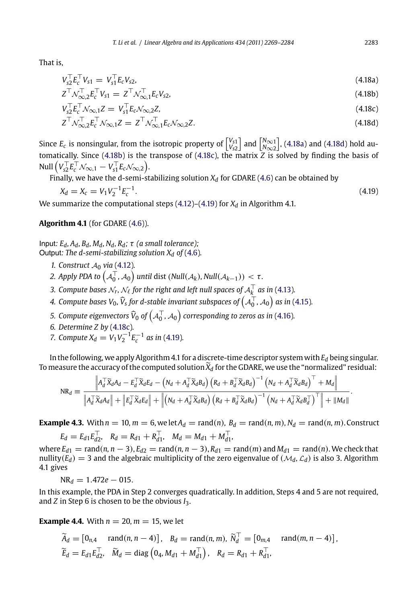That is,

$$
V_{s2}^{\top} E_c^{\top} V_{s1} = V_{s1}^{\top} E_c V_{s2}, \tag{4.18a}
$$

$$
Z^{\top} \mathcal{N}_{\infty,2}^{\top} E_c^{\top} V_{s1} = Z^{\top} \mathcal{N}_{\infty,1}^{\top} E_c V_{s2}, \tag{4.18b}
$$

$$
V_{s2}^{\top} E_c^{\top} \mathcal{N}_{\infty,1} Z = V_{s1}^{\top} E_c \mathcal{N}_{\infty,2} Z, \tag{4.18c}
$$

$$
Z^{\top} \mathcal{N}_{\infty,2}^{\top} E_c^{\top} \mathcal{N}_{\infty,1} Z = Z^{\top} \mathcal{N}_{\infty,1}^{\top} E_c \mathcal{N}_{\infty,2} Z.
$$
\n(4.18d)

Since  $E_c$  is nonsingular, from the isotropic property of  $\begin{bmatrix} V_{s1} \\ V_{s2} \end{bmatrix}$  $\int$  and  $\begin{bmatrix} N_{\infty 1} \\ N_{\infty 2} \end{bmatrix}$  , (4.18a) and (4.18d) hold automatically. Since (4.18b) is the transpose [of \(4](#page-11-0).18c), the matrix *Z* is solved by finding the basis of Null  $\left(V_{s2}^\top E_c^\top \mathcal{N}_{\infty,1} - V_{s1}^\top E_c \mathcal{N}_{\infty,2}\right)$ .

Finally, we have the d-semi-stabilizing solution  $X_d$  for GDARE (4.6) can be obtained by

$$
X_d = X_c = V_1 V_2^{-1} E_c^{-1}.
$$
\nWe summarize the computational steps (4.12)–(4.19) for  $X_d$  in Algorithm 4.1.

**Algorithm 4.1** (for GDARE (4.6)).

Input*: Ed, Ad, Bd, Md, Nd, Rd; τ (a small tolerance);*

Output*: The d-semi-stabilizing solution Xd of* (4.6)*.*

- *1.* Construct  $A_0$  *via* (4.12)*.*
- 2. Apply PDA to  $\left( \mathcal{A}_{0}^{\top}, \mathcal{A}_{0} \right)$  until dist  $\left( \text{Null}(\mathcal{A}_k), \text{Null}(\mathcal{A}_{k-1}) \right) < \tau$ .
- 3. Compute bases  $\mathcal{N}_r$ ,  $\mathcal{N}_\ell$  for the right and left null spaces of  $\mathcal{A}_k^\top$  as in (4.13).
- 4. Compute bases V<sub>0</sub>,  $\widehat{V}_s$  for d-stable invariant subspaces of  $\left(\mathcal{A}^{\top}_0,\mathcal{A}_0\right)$  as in (4.15).
- 5. Compute eigenvectors  $\widehat{V}_0$  of  $\left( {\cal A}^{\top}_0, {\cal A}_0 \right)$  corresponding to zeros as in (4.16).

6. Determine 
$$
Z
$$
 by  $(4.18c)$ .

*7.* Compute  $X_d = V_1 V_2^{-1} E_c^{-1}$  as in (4.19).

In the following, we apply Algorithm 4.1 for a discrete-time descriptor system with *Ed* being singular. To measure the accuracy of the computed solution  $\tilde{X}_d$  for the GDARE, we use the "normalized" residual:  $-1$ 

$$
\mathrm{NR}_{d} \equiv \frac{\left\|A_{d}^{\top} \widetilde{X}_{d} A_{d} - E_{d}^{\top} \widetilde{X}_{d} E_{d} - \left(N_{d} + A_{d}^{\top} \widetilde{X}_{d} B_{d}\right) \left(R_{d} + B_{d}^{\top} \widetilde{X}_{d} B_{d}\right)^{-1} \left(N_{d} + A_{d}^{\top} \widetilde{X}_{d} B_{d}\right)^{\top} + M_{d}\right\|}{\left\|A_{d}^{\top} \widetilde{X}_{d} A_{d}\right\| + \left\|E_{d}^{\top} \widetilde{X}_{d} E_{d}\right\| + \left\|\left(N_{d} + A_{d}^{\top} \widetilde{X}_{d} B_{d}\right) \left(R_{d} + B_{d}^{\top} \widetilde{X}_{d} B_{d}\right)^{-1} \left(N_{d} + A_{d}^{\top} \widetilde{X}_{d} B_{d}^{\top}\right)^{\top}\right\| + \|M_{d}\|}.
$$

**Example 4.3.** With  $n = 10$ ,  $m = 6$ , we let  $A_d = \text{rand}(n)$ ,  $B_d = \text{rand}(n, m)$ ,  $N_d = \text{rand}(n, m)$ . Construct

 $E_d = E_{d1} E_{d2}^{\top}, \quad R_d = R_{d1} + R_{d1}^{\top}, \quad M_d = M_{d1} + M_{d1}^{\top},$ 

 $\text{where } E_{d1} = \text{rand}(n, n-3), E_{d2} = \text{rand}(n, n-3), R_{d1} = \text{rand}(m) \text{ and } M_{d1} = \text{rand}(n).$  We check that nullity( $E_d$ ) = 3 and the algebraic multiplicity of the zero eigenvalue of ( $M_d$ ,  $\mathcal{L}_d$ ) is also 3. Algorithm 4.1 gives

 $NR_d = 1.472e - 015$ .

In this example, the PDA in Step 2 converges quadratically. In addition, Steps 4 and 5 are not required, and *Z* in Step 6 is chosen to be the obvious *I*3.

**Example 4.4.** With  $n = 20$ ,  $m = 15$ , we let

$$
\widetilde{A}_d = [0_{n,4} \text{ rand}(n, n-4)], \quad B_d = \text{rand}(n, m), \ \widetilde{N}_d^{\top} = [0_{m,4} \text{ rand}(m, n-4)], \n\widetilde{E}_d = E_{d1} E_{d2}^{\top}, \quad \widetilde{M}_d = \text{diag}\left(0_4, M_{d1} + M_{d1}^{\top}\right), \quad R_d = R_{d1} + R_{d1}^{\top},
$$